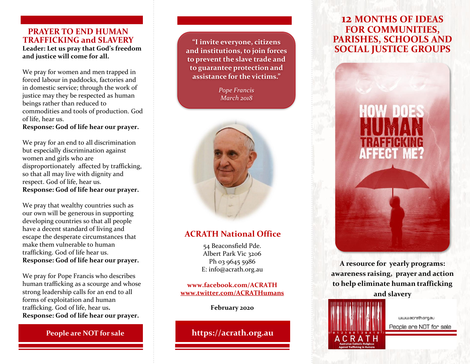## **PRAYER TO END HUMAN TRAFFICKING and SLAVERY Leader: Let us pray that God's freedom and justice will come for all.**

We pray for women and men trapped in forced labour in paddocks, factories and in domestic service; through the work of justice may they be respected as human beings rather than reduced to commodities and tools of production. God of life, hear us. **Response: God of life hear our prayer.**

We pray for an end to all discrimination but especially discrimination against women and girls who are disproportionately affected by trafficking, so that all may live with dignity and respect. God of life, hear us. **Response: God of life hear our prayer.**

We pray that wealthy countries such as our own will be generous in supporting developing countries so that all people have a decent standard of living and escape the desperate circumstances that make them vulnerable to human trafficking. God of life hear us. **Response: God of life hear our prayer.**

We pray for Pope Francis who describes human trafficking as a scourge and whose strong leadership calls for an end to all forms of exploitation and human trafficking. God of life, hear us**. Response: God of life hear our prayer.**

**People are NOT for sale** 

**"I invite everyone, citizens and institutions, to join forces to prevent the slave trade and to guarantee protection and assistance for the victims."**

> *Pope Francis March 2018*



# **ACRATH National Office**

54 Beaconsfield Pde. Albert Park Vic 3206 Ph 03 9645 5986 E: info@acrath.org.au

**www.facebook.com/ACRATH [www.twitter.com/ACRATHumans](http://www.twitter.com/ACRATHumans)**

# **February 2020**

**https://acrath.org.au**

# **12 MONTHS OF IDEAS FOR COMMUNITIES, PARISHES, SCHOOLS AND SOCIAL JUSTICE GROUPS**



**A resource for yearly programs: awareness raising, prayer and action to help eliminate human trafficking and slavery**



www.acrath.org.au People are NOT for sale